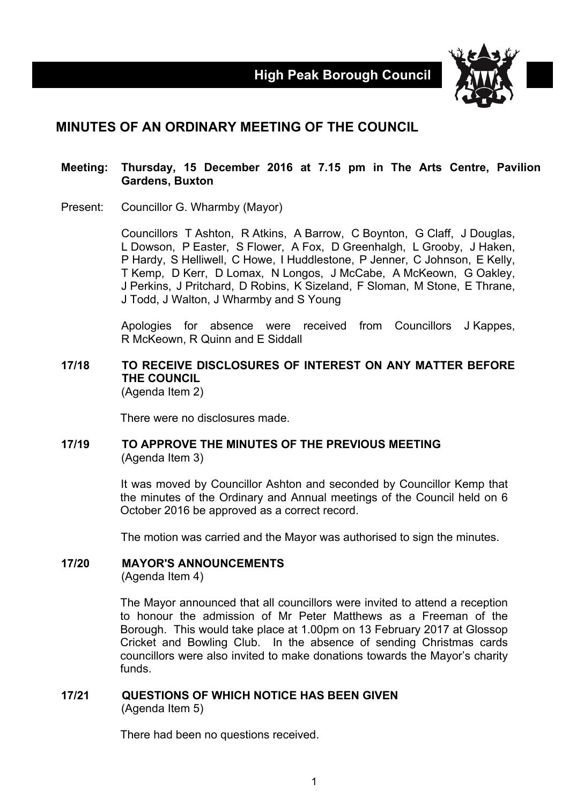

# **MINUTES OF AN ORDINARY MEETING OF THE COUNCIL**

#### **Meeting: Thursday, 15 December 2016 at 7.15 pm in The Arts Centre, Pavilion Gardens, Buxton**

Present: Councillor G. Wharmby (Mayor)

Councillors T Ashton, R Atkins, A Barrow, C Boynton, G Claff, J Douglas, L Dowson, P Easter, S Flower, A Fox, D Greenhalgh, L Grooby, J Haken, P Hardy, S Helliwell, C Howe, I Huddlestone, P Jenner, C Johnson, E Kelly, T Kemp, D Kerr, D Lomax, N Longos, J McCabe, A McKeown, G Oakley, J Perkins, J Pritchard, D Robins, K Sizeland, F Sloman, M Stone, E Thrane, J Todd, J Walton, J Wharmby and S Young

Apologies for absence were received from Councillors J Kappes, R McKeown, R Quinn and E Siddall

#### **17/18 TO RECEIVE DISCLOSURES OF INTEREST ON ANY MATTER BEFORE THE COUNCIL** (Agenda Item 2)

There were no disclosures made.

## **17/19 TO APPROVE THE MINUTES OF THE PREVIOUS MEETING** (Agenda Item 3)

It was moved by Councillor Ashton and seconded by Councillor Kemp that the minutes of the Ordinary and Annual meetings of the Council held on 6 October 2016 be approved as a correct record.

The motion was carried and the Mayor was authorised to sign the minutes.

## **17/20 MAYOR'S ANNOUNCEMENTS**

(Agenda Item 4)

The Mayor announced that all councillors were invited to attend a reception to honour the admission of Mr Peter Matthews as a Freeman of the Borough. This would take place at 1.00pm on 13 February 2017 at Glossop Cricket and Bowling Club. In the absence of sending Christmas cards councillors were also invited to make donations towards the Mayor's charity funds.

## **17/21 QUESTIONS OF WHICH NOTICE HAS BEEN GIVEN** (Agenda Item 5)

There had been no questions received.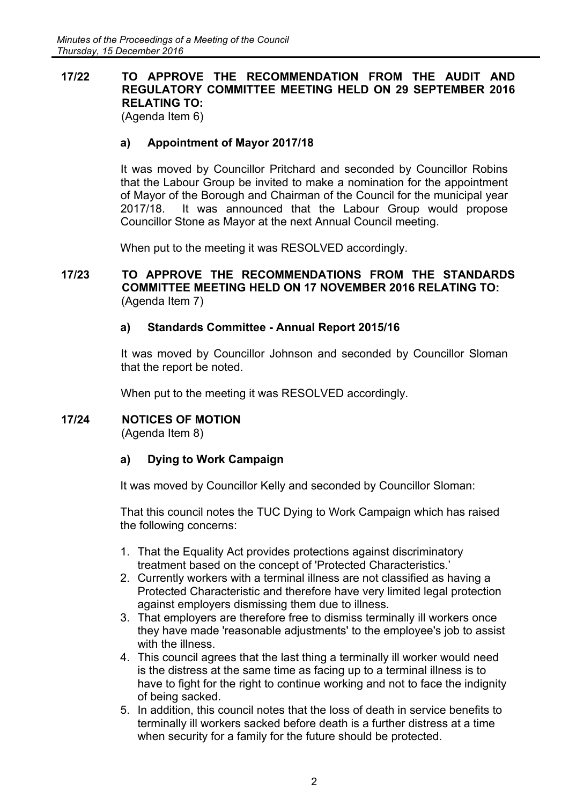# **17/22 TO APPROVE THE RECOMMENDATION FROM THE AUDIT AND REGULATORY COMMITTEE MEETING HELD ON 29 SEPTEMBER 2016 RELATING TO:**

(Agenda Item 6)

## **a) Appointment of Mayor 2017/18**

It was moved by Councillor Pritchard and seconded by Councillor Robins that the Labour Group be invited to make a nomination for the appointment of Mayor of the Borough and Chairman of the Council for the municipal year 2017/18. It was announced that the Labour Group would propose Councillor Stone as Mayor at the next Annual Council meeting.

When put to the meeting it was RESOLVED accordingly.

## **17/23 TO APPROVE THE RECOMMENDATIONS FROM THE STANDARDS COMMITTEE MEETING HELD ON 17 NOVEMBER 2016 RELATING TO:** (Agenda Item 7)

## **a) Standards Committee - Annual Report 2015/16**

It was moved by Councillor Johnson and seconded by Councillor Sloman that the report be noted.

When put to the meeting it was RESOLVED accordingly.

## **17/24 NOTICES OF MOTION**

(Agenda Item 8)

## **a) Dying to Work Campaign**

It was moved by Councillor Kelly and seconded by Councillor Sloman:

That this council notes the TUC Dying to Work Campaign which has raised the following concerns:

- 1. That the Equality Act provides protections against discriminatory treatment based on the concept of 'Protected Characteristics.'
- 2. Currently workers with a terminal illness are not classified as having a Protected Characteristic and therefore have very limited legal protection against employers dismissing them due to illness.
- 3. That employers are therefore free to dismiss terminally ill workers once they have made 'reasonable adjustments' to the employee's job to assist with the illness.
- 4. This council agrees that the last thing a terminally ill worker would need is the distress at the same time as facing up to a terminal illness is to have to fight for the right to continue working and not to face the indignity of being sacked.
- 5. In addition, this council notes that the loss of death in service benefits to terminally ill workers sacked before death is a further distress at a time when security for a family for the future should be protected.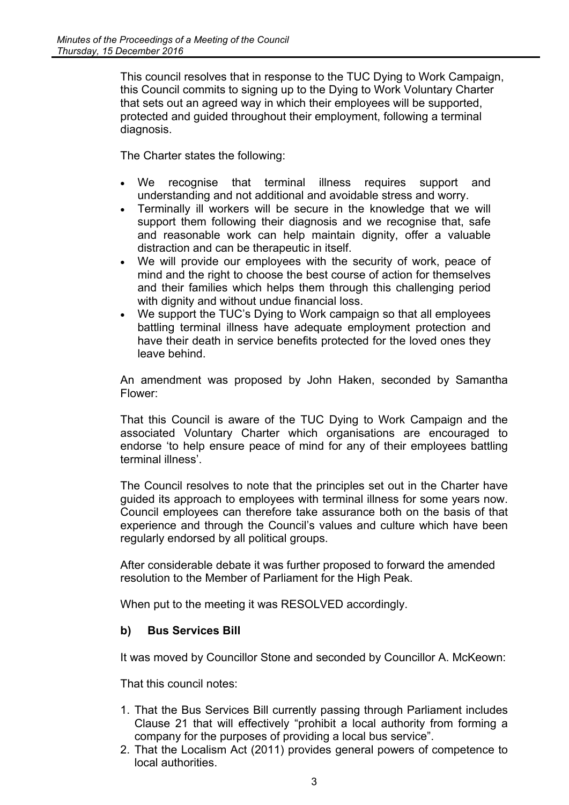This council resolves that in response to the TUC Dying to Work Campaign, this Council commits to signing up to the Dying to Work Voluntary Charter that sets out an agreed way in which their employees will be supported, protected and guided throughout their employment, following a terminal diagnosis.

The Charter states the following:

- We recognise that terminal illness requires support and understanding and not additional and avoidable stress and worry.
- Terminally ill workers will be secure in the knowledge that we will support them following their diagnosis and we recognise that, safe and reasonable work can help maintain dignity, offer a valuable distraction and can be therapeutic in itself.
- We will provide our employees with the security of work, peace of mind and the right to choose the best course of action for themselves and their families which helps them through this challenging period with dignity and without undue financial loss.
- We support the TUC's Dying to Work campaign so that all employees battling terminal illness have adequate employment protection and have their death in service benefits protected for the loved ones they leave behind.

An amendment was proposed by John Haken, seconded by Samantha Flower:

That this Council is aware of the TUC Dying to Work Campaign and the associated Voluntary Charter which organisations are encouraged to endorse 'to help ensure peace of mind for any of their employees battling terminal illness'.

The Council resolves to note that the principles set out in the Charter have guided its approach to employees with terminal illness for some years now. Council employees can therefore take assurance both on the basis of that experience and through the Council's values and culture which have been regularly endorsed by all political groups.

After considerable debate it was further proposed to forward the amended resolution to the Member of Parliament for the High Peak.

When put to the meeting it was RESOLVED accordingly.

## **b) Bus Services Bill**

It was moved by Councillor Stone and seconded by Councillor A. McKeown:

That this council notes:

- 1. That the Bus Services Bill currently passing through Parliament includes Clause 21 that will effectively "prohibit a local authority from forming a company for the purposes of providing a local bus service".
- 2. That the Localism Act (2011) provides general powers of competence to local authorities.